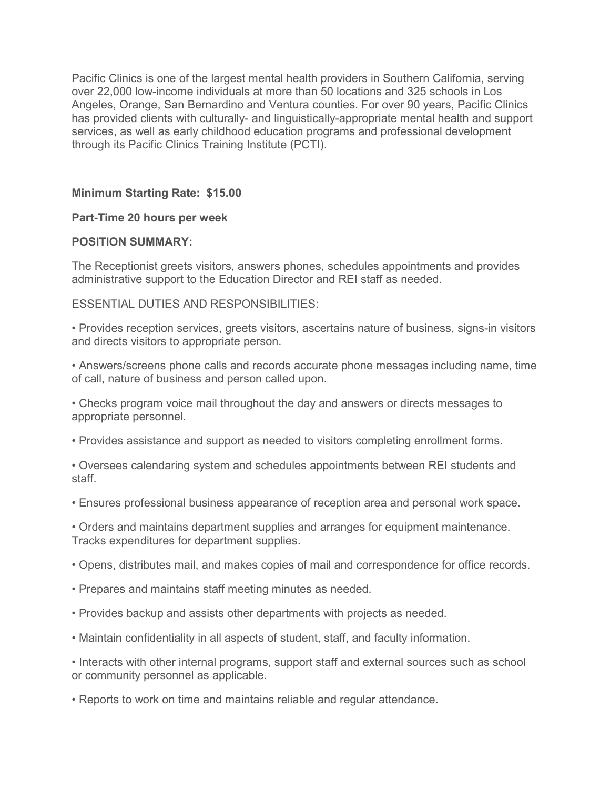Pacific Clinics is one of the largest mental health providers in Southern California, serving over 22,000 low-income individuals at more than 50 locations and 325 schools in Los Angeles, Orange, San Bernardino and Ventura counties. For over 90 years, Pacific Clinics has provided clients with culturally- and linguistically-appropriate mental health and support services, as well as early childhood education programs and professional development through its Pacific Clinics Training Institute (PCTI).

# **Minimum Starting Rate: \$15.00**

#### **Part-Time 20 hours per week**

## **POSITION SUMMARY:**

The Receptionist greets visitors, answers phones, schedules appointments and provides administrative support to the Education Director and REI staff as needed.

## ESSENTIAL DUTIES AND RESPONSIBILITIES:

• Provides reception services, greets visitors, ascertains nature of business, signs-in visitors and directs visitors to appropriate person.

• Answers/screens phone calls and records accurate phone messages including name, time of call, nature of business and person called upon.

• Checks program voice mail throughout the day and answers or directs messages to appropriate personnel.

• Provides assistance and support as needed to visitors completing enrollment forms.

• Oversees calendaring system and schedules appointments between REI students and staff.

• Ensures professional business appearance of reception area and personal work space.

• Orders and maintains department supplies and arranges for equipment maintenance. Tracks expenditures for department supplies.

- Opens, distributes mail, and makes copies of mail and correspondence for office records.
- Prepares and maintains staff meeting minutes as needed.
- Provides backup and assists other departments with projects as needed.
- Maintain confidentiality in all aspects of student, staff, and faculty information.

• Interacts with other internal programs, support staff and external sources such as school or community personnel as applicable.

• Reports to work on time and maintains reliable and regular attendance.